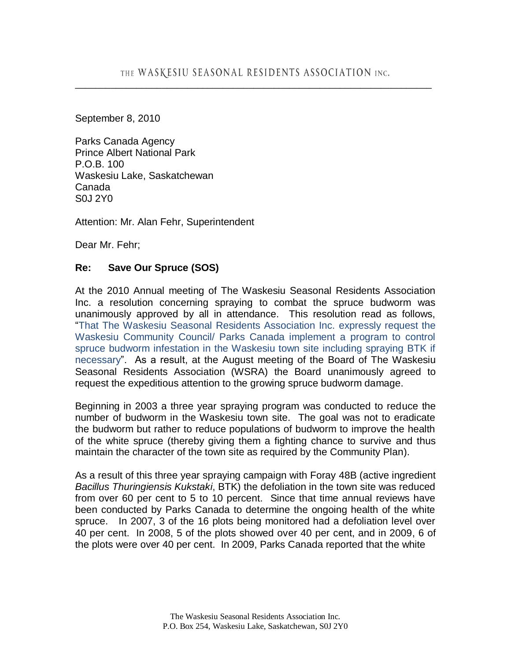September 8, 2010

Parks Canada Agency Prince Albert National Park P.O.B. 100 Waskesiu Lake, Saskatchewan Canada S0J 2Y0

Attention: Mr. Alan Fehr, Superintendent

Dear Mr. Fehr;

## **Re: Save Our Spruce (SOS)**

At the 2010 Annual meeting of The Waskesiu Seasonal Residents Association Inc. a resolution concerning spraying to combat the spruce budworm was unanimously approved by all in attendance. This resolution read as follows, "That The Waskesiu Seasonal Residents Association Inc. expressly request the Waskesiu Community Council/ Parks Canada implement a program to control spruce budworm infestation in the Waskesiu town site including spraying BTK if necessary". As a result, at the August meeting of the Board of The Waskesiu Seasonal Residents Association (WSRA) the Board unanimously agreed to request the expeditious attention to the growing spruce budworm damage.

Beginning in 2003 a three year spraying program was conducted to reduce the number of budworm in the Waskesiu town site. The goal was not to eradicate the budworm but rather to reduce populations of budworm to improve the health of the white spruce (thereby giving them a fighting chance to survive and thus maintain the character of the town site as required by the Community Plan).

As a result of this three year spraying campaign with Foray 48B (active ingredient *Bacillus Thuringiensis Kukstaki*, BTK) the defoliation in the town site was reduced from over 60 per cent to 5 to 10 percent. Since that time annual reviews have been conducted by Parks Canada to determine the ongoing health of the white spruce. In 2007, 3 of the 16 plots being monitored had a defoliation level over 40 per cent. In 2008, 5 of the plots showed over 40 per cent, and in 2009, 6 of the plots were over 40 per cent. In 2009, Parks Canada reported that the white